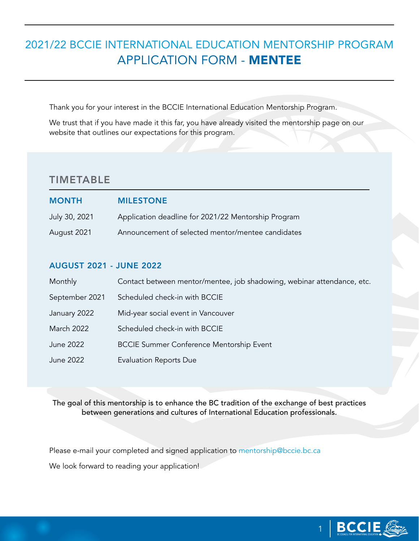# 2021/22 BCCIE INTERNATIONAL EDUCATION MENTORSHIP PROGRAM APPLICATION FORM - MENTEE

Thank you for your interest in the BCCIE International Education Mentorship Program.

We trust that if you have made it this far, you have already visited the mentorship page on our website that outlines our expectations for this program.

### TIMETABLE

| <b>MONTH</b>  | <b>MILESTONE</b>                                    |
|---------------|-----------------------------------------------------|
| July 30, 2021 | Application deadline for 2021/22 Mentorship Program |
| August 2021   | Announcement of selected mentor/mentee candidates   |

#### AUGUST 2021 - JUNE 2022

| Monthly        | Contact between mentor/mentee, job shadowing, webinar attendance, etc. |
|----------------|------------------------------------------------------------------------|
| September 2021 | Scheduled check-in with BCCIE                                          |
| January 2022   | Mid-year social event in Vancouver                                     |
| March 2022     | Scheduled check-in with BCCIE                                          |
| June 2022      | <b>BCCIE Summer Conference Mentorship Event</b>                        |
| June 2022      | <b>Evaluation Reports Due</b>                                          |

The goal of this mentorship is to enhance the BC tradition of the exchange of best practices between generations and cultures of International Education professionals.

Please e-mail your completed and signed application to [mentorship@bccie.bc.ca](mailto:mentorship%40bccie.bc.ca?subject=)

We look forward to reading your application!

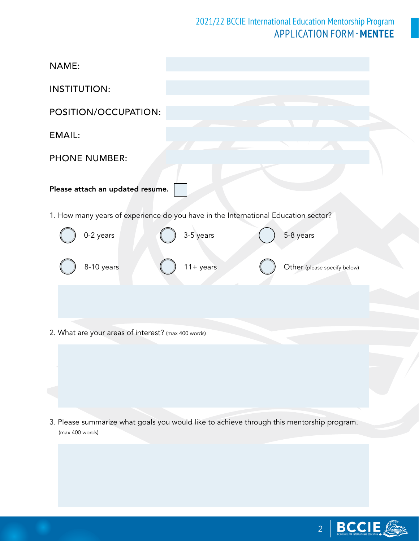## 2021/22 BCCIE International Education Mentorship Program APPLICATION FORM -**MENTEE**

| NAME:                                                                                                        |
|--------------------------------------------------------------------------------------------------------------|
| <b>INSTITUTION:</b>                                                                                          |
| POSITION/OCCUPATION:                                                                                         |
| <b>EMAIL:</b>                                                                                                |
| <b>PHONE NUMBER:</b>                                                                                         |
| Please attach an updated resume.                                                                             |
| 1. How many years of experience do you have in the International Education sector?                           |
| 0-2 years<br>3-5 years<br>5-8 years                                                                          |
| 8-10 years<br>$11 + years$<br>Other (please specify below)                                                   |
|                                                                                                              |
| 2. What are your areas of interest? (max 400 words)                                                          |
|                                                                                                              |
|                                                                                                              |
|                                                                                                              |
| 3. Please summarize what goals you would like to achieve through this mentorship program.<br>(max 400 words) |
|                                                                                                              |